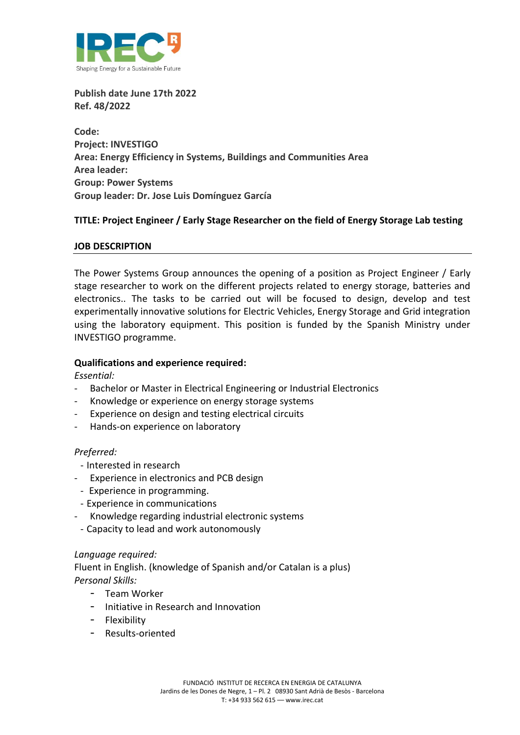

**Publish date June 17th 2022 Ref. 48/2022**

**Code: Project: INVESTIGO Area: Energy Efficiency in Systems, Buildings and Communities Area Area leader: Group: Power Systems Group leader: Dr. Jose Luis Domínguez García**

# **TITLE: Project Engineer / Early Stage Researcher on the field of Energy Storage Lab testing**

### **JOB DESCRIPTION**

The Power Systems Group announces the opening of a position as Project Engineer / Early stage researcher to work on the different projects related to energy storage, batteries and electronics.. The tasks to be carried out will be focused to design, develop and test experimentally innovative solutions for Electric Vehicles, Energy Storage and Grid integration using the laboratory equipment. This position is funded by the Spanish Ministry under INVESTIGO programme.

## **Qualifications and experience required:**

*Essential:* 

- Bachelor or Master in Electrical Engineering or Industrial Electronics
- Knowledge or experience on energy storage systems
- Experience on design and testing electrical circuits
- Hands-on experience on laboratory

### *Preferred:*

- Interested in research
- Experience in electronics and PCB design
- Experience in programming.
- Experience in communications
- Knowledge regarding industrial electronic systems
- Capacity to lead and work autonomously

### *Language required:*

Fluent in English. (knowledge of Spanish and/or Catalan is a plus) *Personal Skills:* 

- Team Worker
- Initiative in Research and Innovation
- Flexibility
- Results-oriented